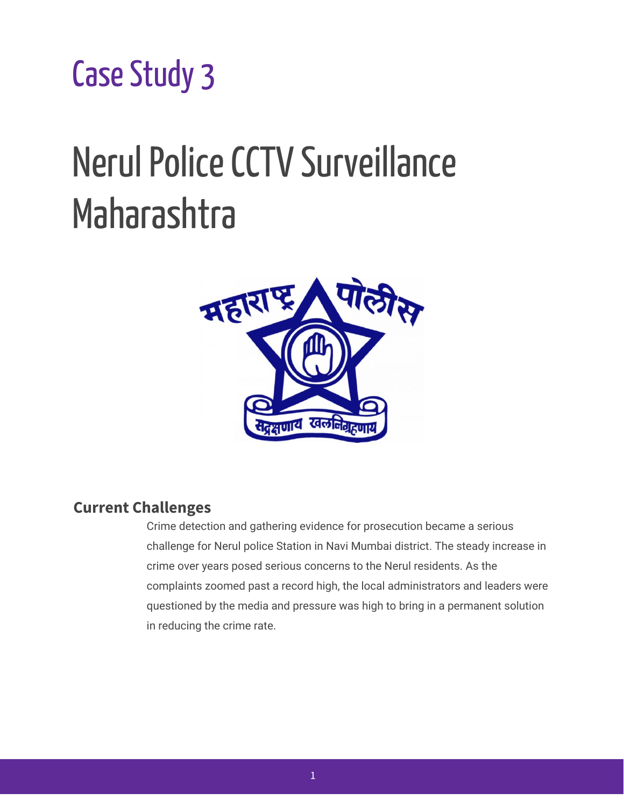Case Study 3

# Nerul Police CCTV Surveillance Maharashtra



## **Current Challenges**

Crime detection and gathering evidence for prosecution became a serious challenge for Nerul police Station in Navi Mumbai district. The steady increase in crime over years posed serious concerns to the Nerul residents. As the complaints zoomed past a record high, the local administrators and leaders were questioned by the media and pressure was high to bring in a permanent solution in reducing the crime rate.